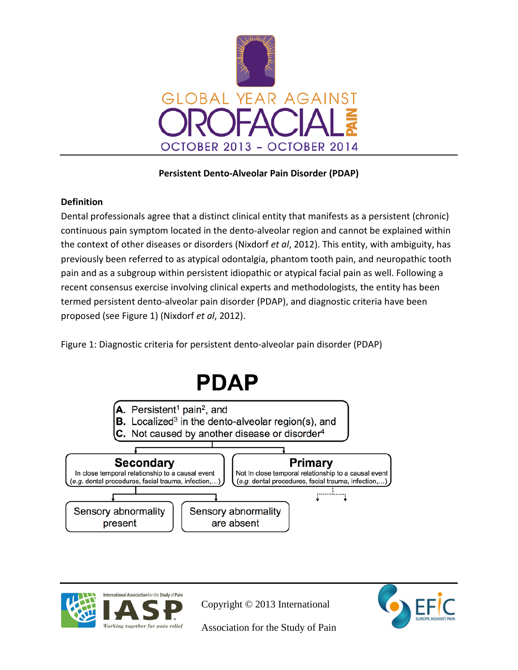

## **Persistent Dento-Alveolar Pain Disorder (PDAP)**

## **Definition**

Dental professionals agree that a distinct clinical entity that manifests as a persistent (chronic) continuous pain symptom located in the dento-alveolar region and cannot be explained within the context of other diseases or disorders (Nixdorf *et al*, 2012). This entity, with ambiguity, has previously been referred to as atypical odontalgia, phantom tooth pain, and neuropathic tooth pain and as a subgroup within persistent idiopathic or atypical facial pain as well. Following a recent consensus exercise involving clinical experts and methodologists, the entity has been termed persistent dento-alveolar pain disorder (PDAP), and diagnostic criteria have been proposed (see Figure 1) (Nixdorf *et al*, 2012).

Figure 1: Diagnostic criteria for persistent dento-alveolar pain disorder (PDAP)





Copyright © 2013 International

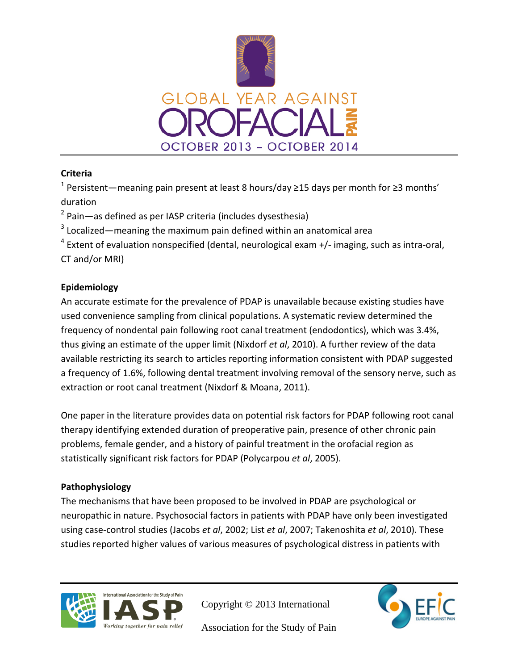

# **Criteria**

<sup>1</sup> Persistent—meaning pain present at least 8 hours/day ≥15 days per month for ≥3 months' duration

 $2$  Pain—as defined as per IASP criteria (includes dysesthesia)

 $3$  Localized—meaning the maximum pain defined within an anatomical area

 $4$  Extent of evaluation nonspecified (dental, neurological exam  $+/-$  imaging, such as intra-oral, CT and/or MRI)

# **Epidemiology**

An accurate estimate for the prevalence of PDAP is unavailable because existing studies have used convenience sampling from clinical populations. A systematic review determined the frequency of nondental pain following root canal treatment (endodontics), which was 3.4%, thus giving an estimate of the upper limit (Nixdorf *et al*, 2010). A further review of the data available restricting its search to articles reporting information consistent with PDAP suggested a frequency of 1.6%, following dental treatment involving removal of the sensory nerve, such as extraction or root canal treatment (Nixdorf & Moana, 2011).

One paper in the literature provides data on potential risk factors for PDAP following root canal therapy identifying extended duration of preoperative pain, presence of other chronic pain problems, female gender, and a history of painful treatment in the orofacial region as statistically significant risk factors for PDAP (Polycarpou *et al*, 2005).

# **Pathophysiology**

The mechanisms that have been proposed to be involved in PDAP are psychological or neuropathic in nature. Psychosocial factors in patients with PDAP have only been investigated using case-control studies (Jacobs *et al*, 2002; List *et al*, 2007; Takenoshita *et al*, 2010). These studies reported higher values of various measures of psychological distress in patients with



Copyright © 2013 International

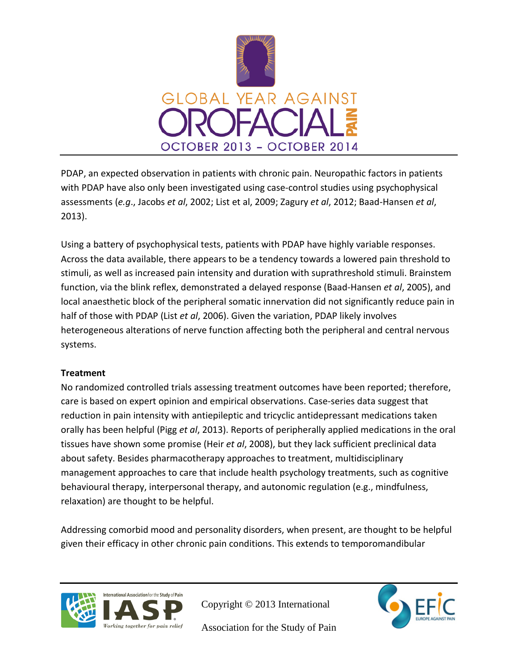

PDAP, an expected observation in patients with chronic pain. Neuropathic factors in patients with PDAP have also only been investigated using case-control studies using psychophysical assessments (*e.g*., Jacobs *et al*, 2002; List et al, 2009; Zagury *et al*, 2012; Baad-Hansen *et al*, 2013).

Using a battery of psychophysical tests, patients with PDAP have highly variable responses. Across the data available, there appears to be a tendency towards a lowered pain threshold to stimuli, as well as increased pain intensity and duration with suprathreshold stimuli. Brainstem function, via the blink reflex, demonstrated a delayed response (Baad-Hansen *et al*, 2005), and local anaesthetic block of the peripheral somatic innervation did not significantly reduce pain in half of those with PDAP (List *et al*, 2006). Given the variation, PDAP likely involves heterogeneous alterations of nerve function affecting both the peripheral and central nervous systems.

## **Treatment**

No randomized controlled trials assessing treatment outcomes have been reported; therefore, care is based on expert opinion and empirical observations. Case-series data suggest that reduction in pain intensity with antiepileptic and tricyclic antidepressant medications taken orally has been helpful (Pigg *et al*, 2013). Reports of peripherally applied medications in the oral tissues have shown some promise (Heir *et al*, 2008), but they lack sufficient preclinical data about safety. Besides pharmacotherapy approaches to treatment, multidisciplinary management approaches to care that include health psychology treatments, such as cognitive behavioural therapy, interpersonal therapy, and autonomic regulation (e.g., mindfulness, relaxation) are thought to be helpful.

Addressing comorbid mood and personality disorders, when present, are thought to be helpful given their efficacy in other chronic pain conditions. This extends to temporomandibular



Copyright © 2013 International

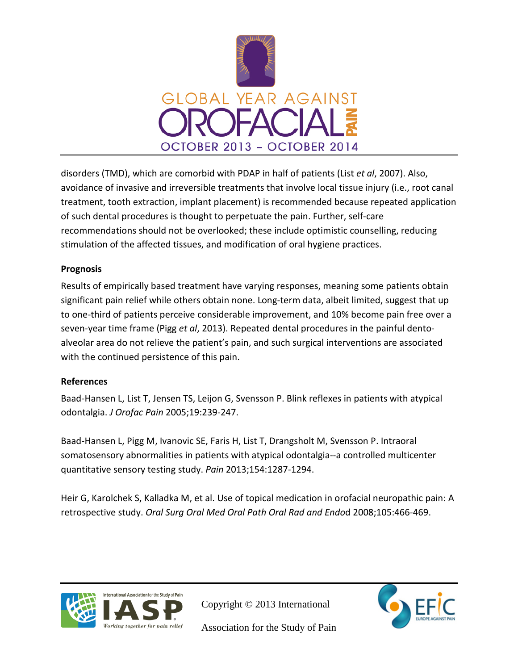

disorders (TMD), which are comorbid with PDAP in half of patients (List *et al*, 2007). Also, avoidance of invasive and irreversible treatments that involve local tissue injury (i.e., root canal treatment, tooth extraction, implant placement) is recommended because repeated application of such dental procedures is thought to perpetuate the pain. Further, self-care recommendations should not be overlooked; these include optimistic counselling, reducing stimulation of the affected tissues, and modification of oral hygiene practices.

#### **Prognosis**

Results of empirically based treatment have varying responses, meaning some patients obtain significant pain relief while others obtain none. Long-term data, albeit limited, suggest that up to one-third of patients perceive considerable improvement, and 10% become pain free over a seven-year time frame (Pigg *et al*, 2013). Repeated dental procedures in the painful dentoalveolar area do not relieve the patient's pain, and such surgical interventions are associated with the continued persistence of this pain.

## **References**

Baad-Hansen L, List T, Jensen TS, Leijon G, Svensson P. Blink reflexes in patients with atypical odontalgia. *J Orofac Pain* 2005;19:239-247.

Baad-Hansen L, Pigg M, Ivanovic SE, Faris H, List T, Drangsholt M, Svensson P. Intraoral somatosensory abnormalities in patients with atypical odontalgia--a controlled multicenter quantitative sensory testing study. *Pain* 2013;154:1287-1294.

Heir G, Karolchek S, Kalladka M, et al. Use of topical medication in orofacial neuropathic pain: A retrospective study. *Oral Surg Oral Med Oral Path Oral Rad and Endo*d 2008;105:466-469.



Copyright © 2013 International

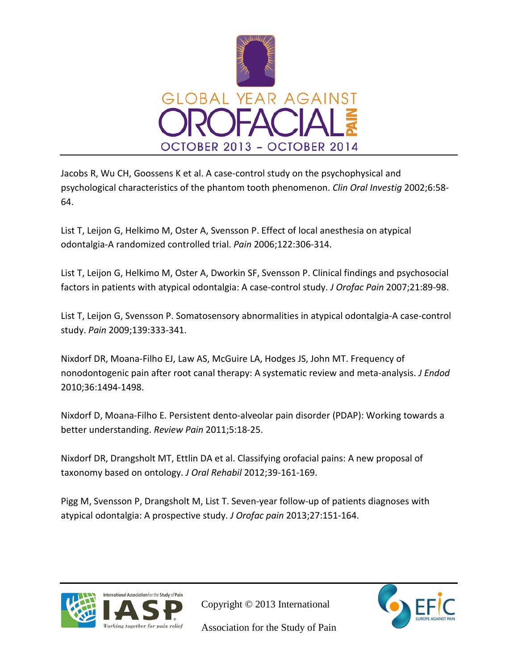

Jacobs R, Wu CH, Goossens K et al. A case-control study on the psychophysical and psychological characteristics of the phantom tooth phenomenon. *Clin Oral Investig* 2002;6:58- 64.

List T, Leijon G, Helkimo M, Oster A, Svensson P. Effect of local anesthesia on atypical odontalgia-A randomized controlled trial. *Pain* 2006;122:306-314.

List T, Leijon G, Helkimo M, Oster A, Dworkin SF, Svensson P. Clinical findings and psychosocial factors in patients with atypical odontalgia: A case-control study. *J Orofac Pain* 2007;21:89-98.

List T, Leijon G, Svensson P. Somatosensory abnormalities in atypical odontalgia-A case-control study. *Pain* 2009;139:333-341.

Nixdorf DR, Moana-Filho EJ, Law AS, McGuire LA, Hodges JS, John MT. Frequency of nonodontogenic pain after root canal therapy: A systematic review and meta-analysis. *J Endod* 2010;36:1494-1498.

Nixdorf D, Moana-Filho E. Persistent dento-alveolar pain disorder (PDAP): Working towards a better understanding. *Review Pain* 2011;5:18-25.

Nixdorf DR, Drangsholt MT, Ettlin DA et al. Classifying orofacial pains: A new proposal of taxonomy based on ontology. *J Oral Rehabil* 2012;39-161-169.

Pigg M, Svensson P, Drangsholt M, List T. Seven-year follow-up of patients diagnoses with atypical odontalgia: A prospective study. *J Orofac pain* 2013;27:151-164.



Copyright © 2013 International